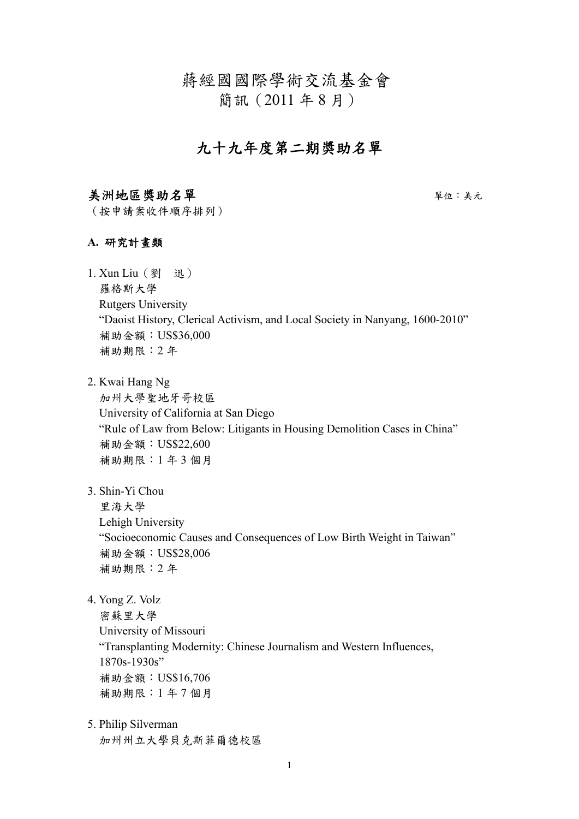蔣經國國際學術交流基金會

簡訊(2011 年 8 月)

# 九十九年度第二期獎助名單

#### 美洲地區獎助名單單位:美元

(按申請案收件順序排列)

#### **A.** 研究計畫類

- 1. Xun Liu (劉 迅) 羅格斯大學 Rutgers University "Daoist History, Clerical Activism, and Local Society in Nanyang, 1600-2010" 補助金額:US\$36,000 補助期限:2 年
- 2. Kwai Hang Ng

加州大學聖地牙哥校區 University of California at San Diego "Rule of Law from Below: Litigants in Housing Demolition Cases in China" 補助金額:US\$22,600 補助期限:1 年 3 個月

3. Shin-Yi Chou

里海大學

Lehigh University

"Socioeconomic Causes and Consequences of Low Birth Weight in Taiwan" 補助金額:US\$28,006 補助期限:2 年

4. Yong Z. Volz

密蘇里大學 University of Missouri "Transplanting Modernity: Chinese Journalism and Western Influences, 1870s-1930s" 補助金額:US\$16,706 補助期限:1 年 7 個月

5. Philip Silverman 加州州立大學貝克斯菲爾德校區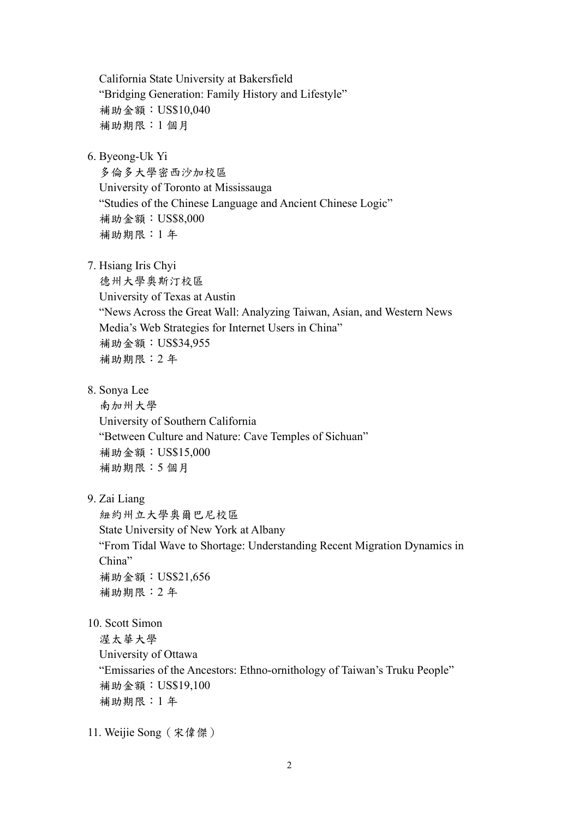California State University at Bakersfield "Bridging Generation: Family History and Lifestyle" 補助金額:US\$10,040 補助期限:1 個月

6. Byeong-Uk Yi

多倫多大學密西沙加校區 University of Toronto at Mississauga "Studies of the Chinese Language and Ancient Chinese Logic" 補助金額:US\$8,000 補助期限:1 年

7. Hsiang Iris Chyi

德州大學奧斯汀校區 University of Texas at Austin "News Across the Great Wall: Analyzing Taiwan, Asian, and Western News Media's Web Strategies for Internet Users in China" 補助金額:US\$34,955 補助期限:2 年

8. Sonya Lee

南加州大學 University of Southern California "Between Culture and Nature: Cave Temples of Sichuan" 補助金額:US\$15,000 補助期限:5 個月

9. Zai Liang

紐約州立大學奧爾巴尼校區 State University of New York at Albany "From Tidal Wave to Shortage: Understanding Recent Migration Dynamics in China" 補助金額:US\$21,656 補助期限:2 年

10. Scott Simon

渥太華大學

University of Ottawa

"Emissaries of the Ancestors: Ethno-ornithology of Taiwan's Truku People" 補助金額:US\$19,100 補助期限:1 年

11. Weijie Song(宋偉傑)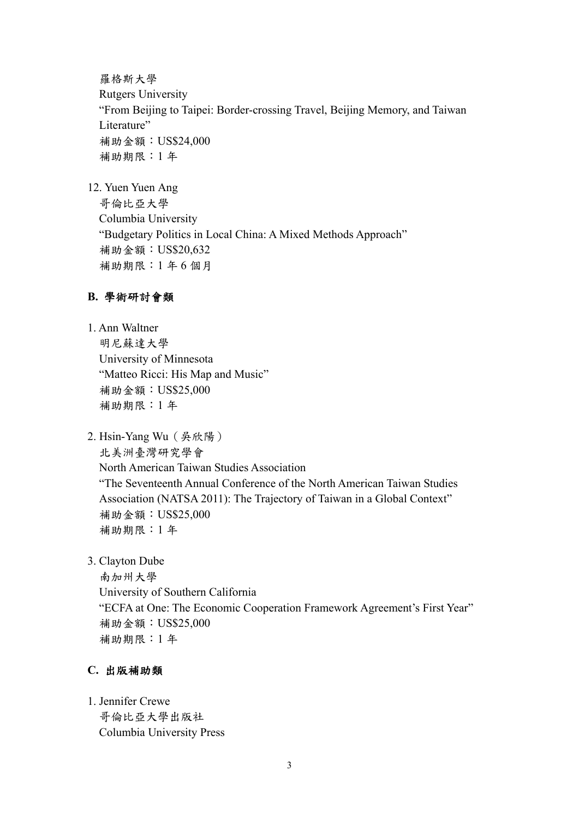羅格斯大學 Rutgers University "From Beijing to Taipei: Border-crossing Travel, Beijing Memory, and Taiwan Literature" 補助金額:US\$24,000 補助期限:1 年

12. Yuen Yuen Ang

哥倫比亞大學 Columbia University "Budgetary Politics in Local China: A Mixed Methods Approach" 補助金額:US\$20,632 補助期限:1 年 6 個月

## **B.** 學術研討會類

- 1. Ann Waltner 明尼蘇達大學 University of Minnesota "Matteo Ricci: His Map and Music" 補助金額:US\$25,000 補助期限:1 年
- 2. Hsin-Yang Wu(吳欣陽) 北美洲臺灣研究學會 North American Taiwan Studies Association "The Seventeenth Annual Conference of the North American Taiwan Studies Association (NATSA 2011): The Trajectory of Taiwan in a Global Context" 補助金額:US\$25,000 補助期限:1 年
- 3. Clayton Dube

南加州大學 University of Southern California "ECFA at One: The Economic Cooperation Framework Agreement's First Year" 補助金額:US\$25,000 補助期限:1 年

## **C.** 出版補助類

1. Jennifer Crewe 哥倫比亞大學出版社 Columbia University Press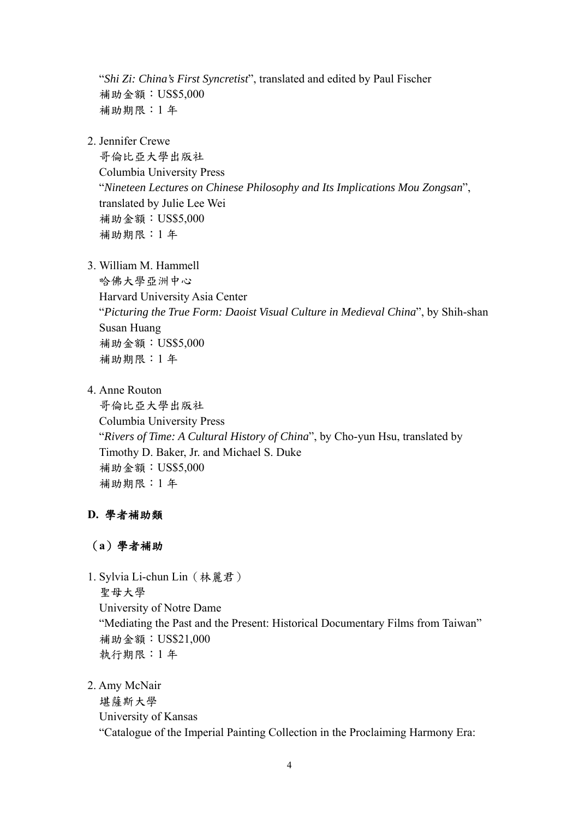"*Shi Zi: China's First Syncretist*", translated and edited by Paul Fischer 補助金額:US\$5,000 補助期限:1 年

2. Jennifer Crewe

哥倫比亞大學出版社 Columbia University Press "*Nineteen Lectures on Chinese Philosophy and Its Implications Mou Zongsan*", translated by Julie Lee Wei 補助金額:US\$5,000 補助期限:1 年

3. William M. Hammell

哈佛大學亞洲中心 Harvard University Asia Center "*Picturing the True Form: Daoist Visual Culture in Medieval China*", by Shih-shan Susan Huang 補助金額:US\$5,000 補助期限:1 年

4. Anne Routon

哥倫比亞大學出版社 Columbia University Press "*Rivers of Time: A Cultural History of China*", by Cho-yun Hsu, translated by Timothy D. Baker, Jr. and Michael S. Duke 補助金額:US\$5,000 補助期限:1 年

## **D.** 學者補助類

## (**a**)學者補助

1. Sylvia Li-chun Lin(林麗君) 聖母大學 University of Notre Dame "Mediating the Past and the Present: Historical Documentary Films from Taiwan" 補助金額:US\$21,000 執行期限:1 年

2. Amy McNair

堪薩斯大學 University of Kansas "Catalogue of the Imperial Painting Collection in the Proclaiming Harmony Era: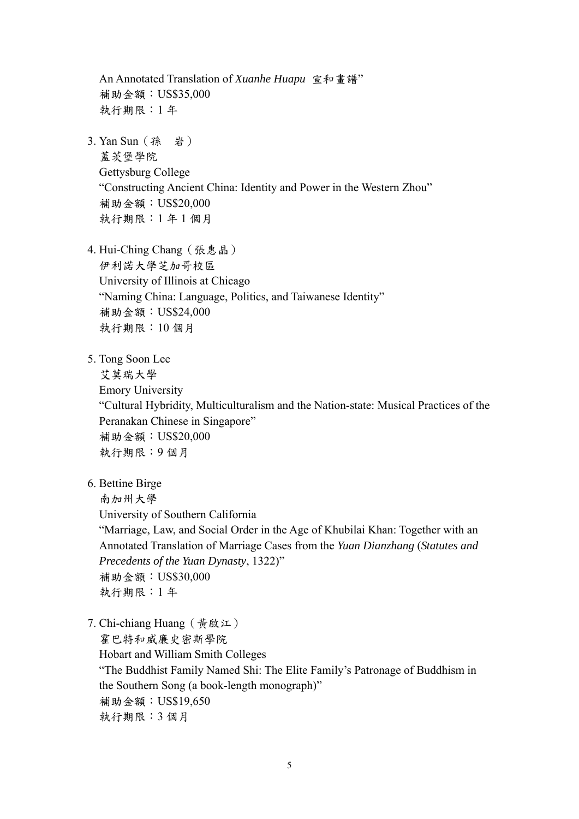An Annotated Translation of *Xuanhe Huapu* 宣和畫譜" 補助金額:US\$35,000 執行期限:1 年

- 3. Yan Sun(孫 岩) 蓋茨堡學院 Gettysburg College "Constructing Ancient China: Identity and Power in the Western Zhou" 補助金額:US\$20,000 執行期限:1 年 1 個月
- 4. Hui-Ching Chang(張惠晶) 伊利諾大學芝加哥校區 University of Illinois at Chicago "Naming China: Language, Politics, and Taiwanese Identity" 補助金額:US\$24,000 執行期限:10 個月
- 5. Tong Soon Lee

艾莫瑞大學 Emory University "Cultural Hybridity, Multiculturalism and the Nation-state: Musical Practices of the Peranakan Chinese in Singapore" 補助金額:US\$20,000 執行期限:9 個月

6. Bettine Birge

南加州大學

University of Southern California

"Marriage, Law, and Social Order in the Age of Khubilai Khan: Together with an Annotated Translation of Marriage Cases from the *Yuan Dianzhang* (*Statutes and Precedents of the Yuan Dynasty*, 1322)" 補助金額:US\$30,000 執行期限:1 年

7. Chi-chiang Huang(黃啟江) 霍巴特和威廉史密斯學院 Hobart and William Smith Colleges "The Buddhist Family Named Shi: The Elite Family's Patronage of Buddhism in the Southern Song (a book-length monograph)" 補助金額:US\$19,650 執行期限:3 個月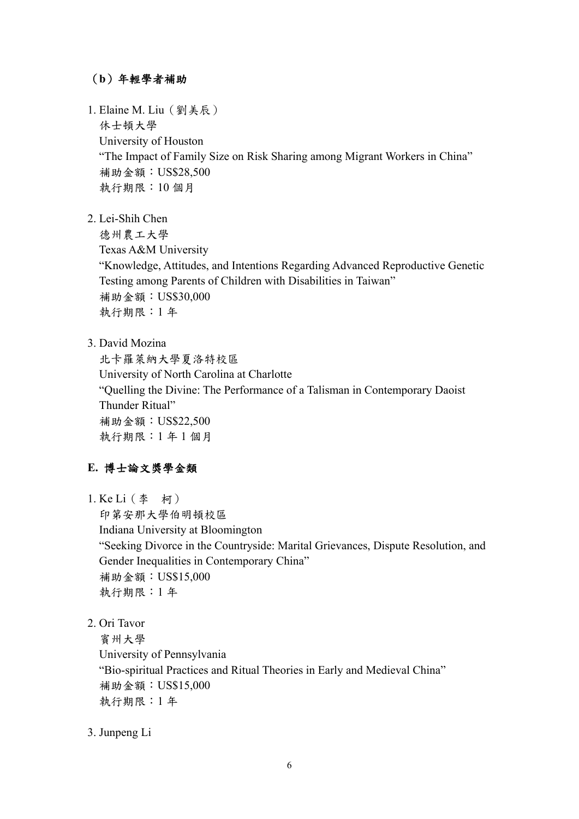## (**b**)年輕學者補助

- 1. Elaine M. Liu(劉美辰) 休士頓大學 University of Houston "The Impact of Family Size on Risk Sharing among Migrant Workers in China" 補助金額:US\$28,500 執行期限:10 個月
- 2. Lei-Shih Chen

德州農工大學 Texas A&M University "Knowledge, Attitudes, and Intentions Regarding Advanced Reproductive Genetic Testing among Parents of Children with Disabilities in Taiwan" 補助金額:US\$30,000 執行期限:1 年

3. David Mozina

北卡羅萊納大學夏洛特校區 University of North Carolina at Charlotte "Quelling the Divine: The Performance of a Talisman in Contemporary Daoist Thunder Ritual" 補助金額:US\$22,500 執行期限:1 年 1 個月

#### **E.** 博士論文獎學金類

1. Ke Li(李 柯)

印第安那大學伯明頓校區

Indiana University at Bloomington "Seeking Divorce in the Countryside: Marital Grievances, Dispute Resolution, and Gender Inequalities in Contemporary China" 補助金額:US\$15,000 執行期限:1 年

2. Ori Tavor

賓州大學 University of Pennsylvania "Bio-spiritual Practices and Ritual Theories in Early and Medieval China" 補助金額:US\$15,000 執行期限:1 年

3. Junpeng Li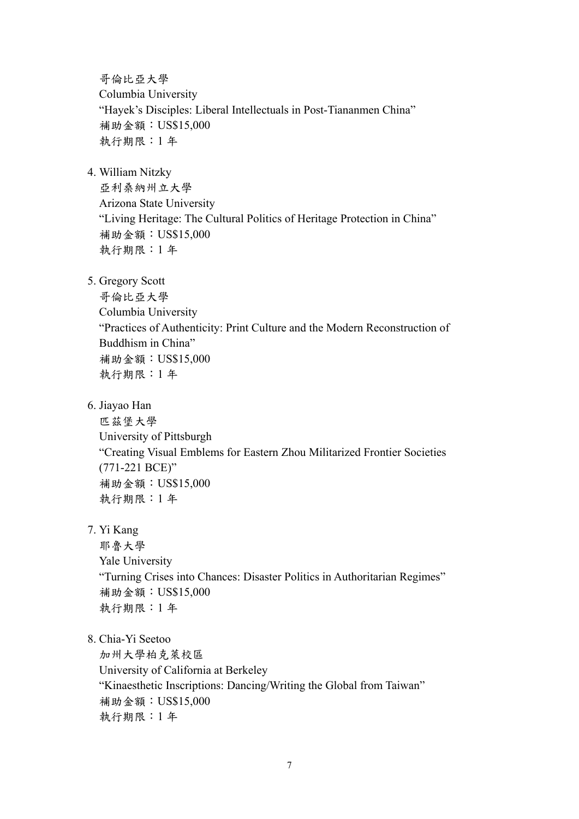哥倫比亞大學 Columbia University "Hayek's Disciples: Liberal Intellectuals in Post-Tiananmen China" 補助金額:US\$15,000 執行期限:1 年

4. William Nitzky

亞利桑納州立大學 Arizona State University "Living Heritage: The Cultural Politics of Heritage Protection in China" 補助金額:US\$15,000 執行期限:1 年

5. Gregory Scott

哥倫比亞大學 Columbia University "Practices of Authenticity: Print Culture and the Modern Reconstruction of Buddhism in China" 補助金額:US\$15,000 執行期限:1 年

6. Jiayao Han

匹茲堡大學 University of Pittsburgh "Creating Visual Emblems for Eastern Zhou Militarized Frontier Societies (771-221 BCE)" 補助金額:US\$15,000 執行期限:1 年

7. Yi Kang

耶魯大學 Yale University "Turning Crises into Chances: Disaster Politics in Authoritarian Regimes" 補助金額:US\$15,000 執行期限:1 年

8. Chia-Yi Seetoo

加州大學柏克萊校區 University of California at Berkeley "Kinaesthetic Inscriptions: Dancing/Writing the Global from Taiwan" 補助金額:US\$15,000 執行期限:1 年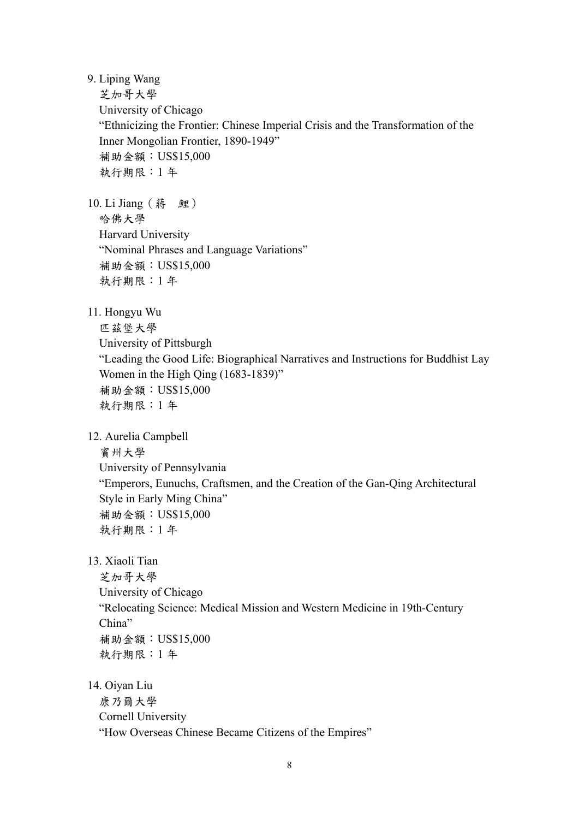9. Liping Wang

芝加哥大學

University of Chicago

"Ethnicizing the Frontier: Chinese Imperial Crisis and the Transformation of the Inner Mongolian Frontier, 1890-1949" 補助金額:US\$15,000

執行期限:1 年

10. Li Jiang (蔣 鯉) 哈佛大學 Harvard University "Nominal Phrases and Language Variations" 補助金額:US\$15,000 執行期限:1 年

11. Hongyu Wu

匹茲堡大學 University of Pittsburgh "Leading the Good Life: Biographical Narratives and Instructions for Buddhist Lay Women in the High Qing (1683-1839)" 補助金額:US\$15,000 執行期限:1 年

12. Aurelia Campbell

賓州大學

University of Pennsylvania "Emperors, Eunuchs, Craftsmen, and the Creation of the Gan-Qing Architectural Style in Early Ming China" 補助金額:US\$15,000 執行期限:1 年

13. Xiaoli Tian

芝加哥大學 University of Chicago "Relocating Science: Medical Mission and Western Medicine in 19th-Century China" 補助金額:US\$15,000 執行期限:1 年

14. Oiyan Liu

康乃爾大學 Cornell University "How Overseas Chinese Became Citizens of the Empires"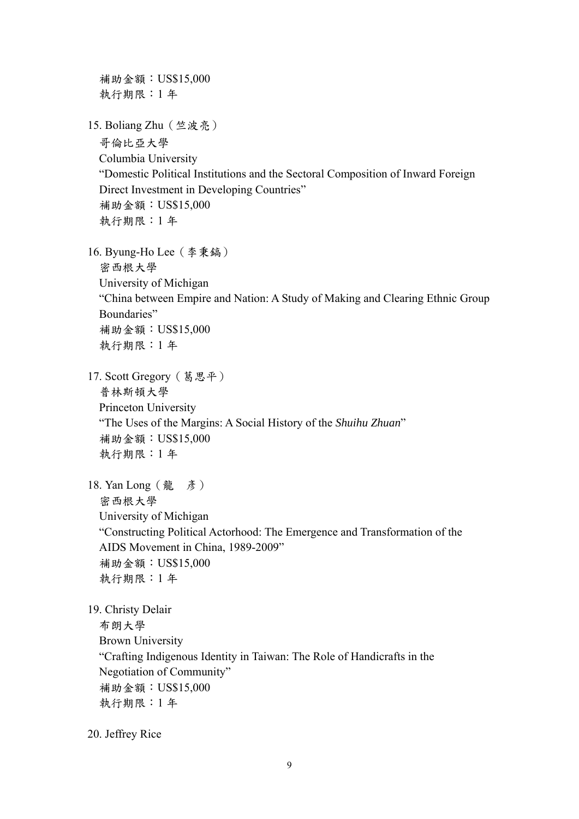補助金額:US\$15,000 執行期限:1 年 15. Boliang Zhu(竺波亮) 哥倫比亞大學 Columbia University "Domestic Political Institutions and the Sectoral Composition of Inward Foreign Direct Investment in Developing Countries" 補助金額:US\$15,000 執行期限:1 年 16. Byung-Ho Lee(李秉鎬) 密西根大學 University of Michigan "China between Empire and Nation: A Study of Making and Clearing Ethnic Group Boundaries" 補助金額:US\$15,000 執行期限:1 年 17. Scott Gregory(葛思平) 普林斯頓大學 Princeton University "The Uses of the Margins: A Social History of the *Shuihu Zhuan*" 補助金額:US\$15,000 執行期限:1 年 18. Yan Long (龍 彥) 密西根大學 University of Michigan "Constructing Political Actorhood: The Emergence and Transformation of the AIDS Movement in China, 1989-2009" 補助金額:US\$15,000 執行期限:1 年 19. Christy Delair 布朗大學 Brown University "Crafting Indigenous Identity in Taiwan: The Role of Handicrafts in the Negotiation of Community" 補助金額:US\$15,000 執行期限:1 年

20. Jeffrey Rice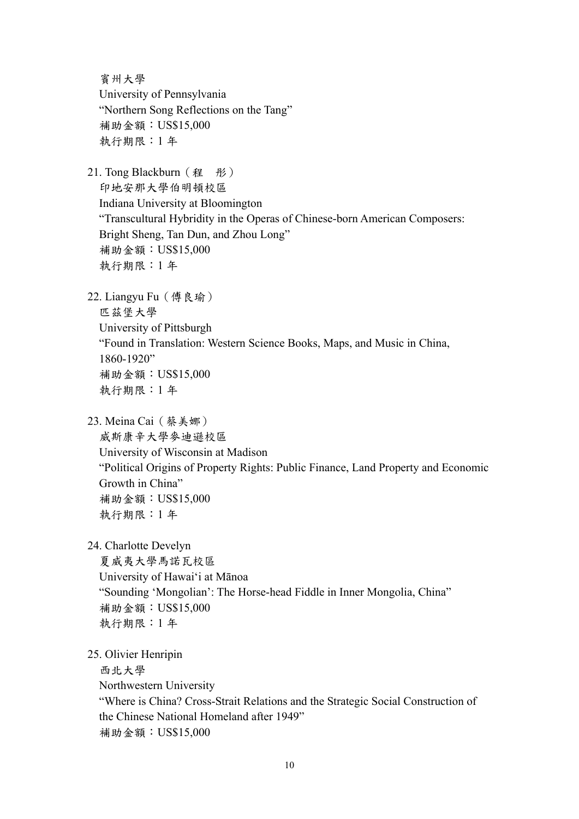賓州大學 University of Pennsylvania "Northern Song Reflections on the Tang" 補助金額:US\$15,000 執行期限:1 年 21. Tong Blackburn (程 彤) 印地安那大學伯明頓校區 Indiana University at Bloomington "Transcultural Hybridity in the Operas of Chinese-born American Composers: Bright Sheng, Tan Dun, and Zhou Long" 補助金額:US\$15,000 執行期限:1 年 22. Liangyu Fu(傅良瑜) 匹茲堡大學 University of Pittsburgh "Found in Translation: Western Science Books, Maps, and Music in China, 1860-1920" 補助金額:US\$15,000 執行期限:1 年 23. Meina Cai(蔡美娜) 威斯康辛大學麥迪遜校區 University of Wisconsin at Madison "Political Origins of Property Rights: Public Finance, Land Property and Economic Growth in China" 補助金額:US\$15,000 執行期限:1 年 24. Charlotte Develyn 夏威夷大學馬諾瓦校區 University of Hawai'i at Mānoa "Sounding 'Mongolian': The Horse-head Fiddle in Inner Mongolia, China" 補助金額:US\$15,000 執行期限:1 年 25. Olivier Henripin 西北大學 Northwestern University "Where is China? Cross-Strait Relations and the Strategic Social Construction of the Chinese National Homeland after 1949" 補助金額:US\$15,000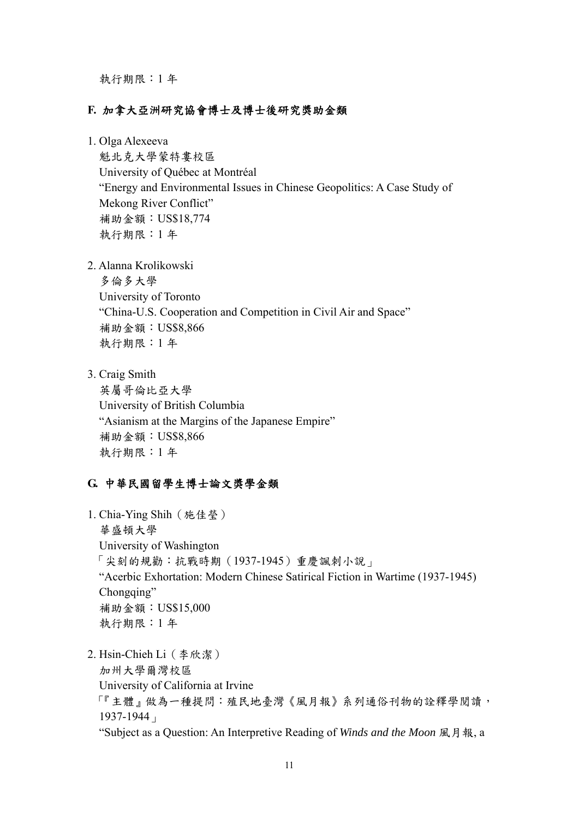執行期限:1 年

#### **F.** 加拿大亞洲研究協會博士及博士後研究獎助金類

1. Olga Alexeeva

魁北克大學蒙特婁校區 University of Québec at Montréal "Energy and Environmental Issues in Chinese Geopolitics: A Case Study of Mekong River Conflict" 補助金額:US\$18,774 執行期限:1 年

2. Alanna Krolikowski

多倫多大學 University of Toronto "China-U.S. Cooperation and Competition in Civil Air and Space" 補助金額:US\$8,866 執行期限:1 年

3. Craig Smith

英屬哥倫比亞大學 University of British Columbia "Asianism at the Margins of the Japanese Empire" 補助金額:US\$8,866 執行期限:1 年

#### **G.** 中華民國留學生博士論文獎學金類

1. Chia-Ying Shih(施佳瑩) 華盛頓大學 University of Washington 「尖刻的規勸:抗戰時期(1937-1945)重慶諷刺小說」 "Acerbic Exhortation: Modern Chinese Satirical Fiction in Wartime (1937-1945) Chongqing" 補助金額:US\$15,000 執行期限:1 年

2. Hsin-Chieh Li(李欣潔) 加州大學爾灣校區 University of California at Irvine 「『主體』做為一種提問:殖民地臺灣《風月報》系列通俗刊物的詮釋學閱讀, 1937-1944」 "Subject as a Question: An Interpretive Reading of *Winds and the Moon* 風月報, a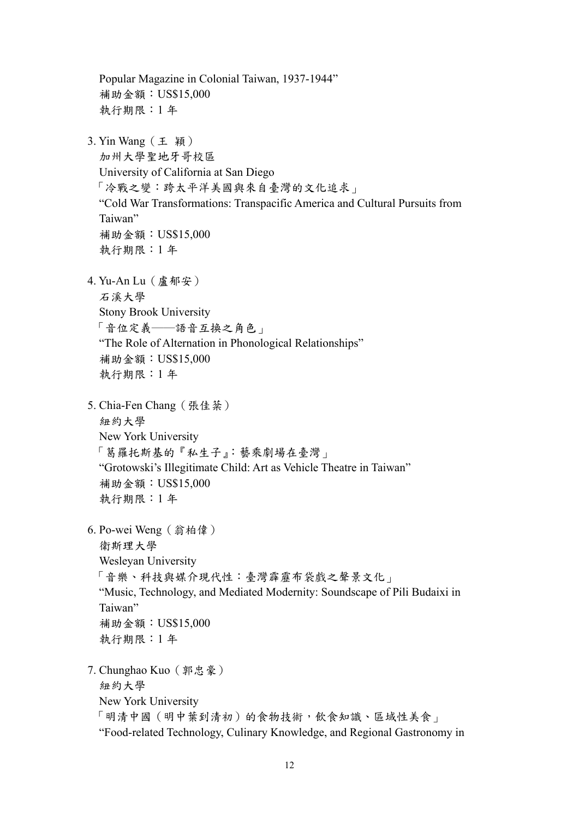Popular Magazine in Colonial Taiwan, 1937-1944" 補助金額:US\$15,000 執行期限:1 年 3. Yin Wang(王 穎) 加州大學聖地牙哥校區 University of California at San Diego 「冷戰之變:跨太平洋美國與來自臺灣的文化追求」 "Cold War Transformations: Transpacific America and Cultural Pursuits from Taiwan" 補助金額:US\$15,000 執行期限:1 年 4. Yu-An Lu(盧郁安) 石溪大學 Stony Brook University 「音位定義──語音互換之角色」 "The Role of Alternation in Phonological Relationships" 補助金額:US\$15,000 執行期限:1 年 5. Chia-Fen Chang (張佳棻) 紐約大學 New York University 「葛羅托斯基的『私生子』:藝乘劇場在臺灣」 "Grotowski's Illegitimate Child: Art as Vehicle Theatre in Taiwan" 補助金額:US\$15,000 執行期限:1 年 6. Po-wei Weng(翁柏偉) 衛斯理大學 Wesleyan University 「音樂、科技與媒介現代性:臺灣霹靂布袋戲之聲景文化」 "Music, Technology, and Mediated Modernity: Soundscape of Pili Budaixi in Taiwan" 補助金額:US\$15,000 執行期限:1 年 7. Chunghao Kuo(郭忠豪) 紐約大學 New York University 「明清中國(明中葉到清初)的食物技術,飲食知識、區域性美食」 "Food-related Technology, Culinary Knowledge, and Regional Gastronomy in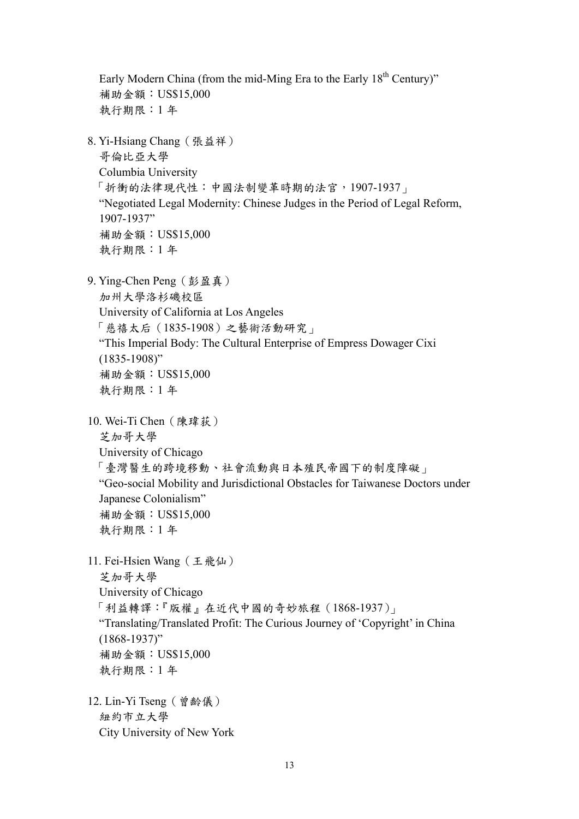Early Modern China (from the mid-Ming Era to the Early 18<sup>th</sup> Century)" 補助金額:US\$15,000 執行期限:1 年 8. Yi-Hsiang Chang(張益祥) 哥倫比亞大學 Columbia University 「折衝的法律現代性:中國法制變革時期的法官,1907-1937」 "Negotiated Legal Modernity: Chinese Judges in the Period of Legal Reform, 1907-1937" 補助金額:US\$15,000 執行期限:1 年 9. Ying-Chen Peng(彭盈真) 加州大學洛杉磯校區 University of California at Los Angeles 「慈禧太后(1835-1908)之藝術活動研究」 "This Imperial Body: The Cultural Enterprise of Empress Dowager Cixi (1835-1908)" 補助金額:US\$15,000 執行期限:1 年 10. Wei-Ti Chen(陳瑋荻) 芝加哥大學 University of Chicago 「臺灣醫生的跨境移動、社會流動與日本殖民帝國下的制度障礙」 "Geo-social Mobility and Jurisdictional Obstacles for Taiwanese Doctors under Japanese Colonialism" 補助金額:US\$15,000 執行期限:1 年 11. Fei-Hsien Wang(王飛仙) 芝加哥大學 University of Chicago 「利益轉譯:『版權』在近代中國的奇妙旅程(1868-1937)」 "Translating/Translated Profit: The Curious Journey of 'Copyright' in China  $(1868 - 1937)$ " 補助金額:US\$15,000 執行期限:1 年 12. Lin-Yi Tseng(曾齡儀) 紐約市立大學 City University of New York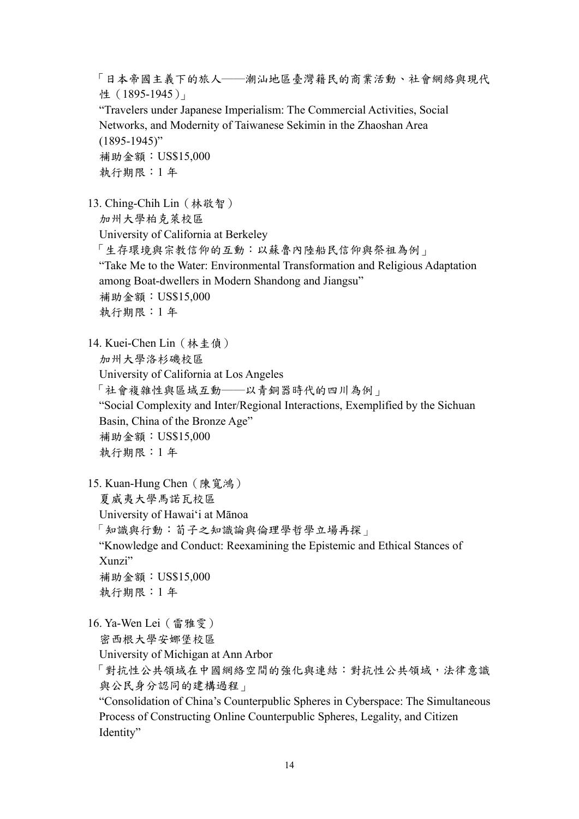「日本帝國主義下的旅人──潮汕地區臺灣籍民的商業活動、社會網絡與現代 性(1895-1945) "Travelers under Japanese Imperialism: The Commercial Activities, Social Networks, and Modernity of Taiwanese Sekimin in the Zhaoshan Area (1895-1945)" 補助金額:US\$15,000 執行期限:1 年

13. Ching-Chih Lin(林敬智) 加州大學柏克萊校區 University of California at Berkeley 「生存環境與宗教信仰的互動:以蘇魯內陸船民信仰與祭祖為例」 "Take Me to the Water: Environmental Transformation and Religious Adaptation among Boat-dwellers in Modern Shandong and Jiangsu" 補助金額:US\$15,000 執行期限:1 年

14. Kuei-Chen Lin(林圭偵) 加州大學洛杉磯校區 University of California at Los Angeles 「社會複雜性與區域互動──以青銅器時代的四川為例」 "Social Complexity and Inter/Regional Interactions, Exemplified by the Sichuan Basin, China of the Bronze Age" 補助金額:US\$15,000 執行期限:1 年

15. Kuan-Hung Chen(陳寬鴻)

夏威夷大學馬諾瓦校區

University of Hawai'i at Mānoa

「知識與行動:荀子之知識論與倫理學哲學立場再探」

"Knowledge and Conduct: Reexamining the Epistemic and Ethical Stances of Xunzi"

補助金額:US\$15,000 執行期限:1 年

16. Ya-Wen Lei(雷雅雯)

密西根大學安娜堡校區

University of Michigan at Ann Arbor

「對抗性公共領域在中國網絡空間的強化與連結:對抗性公共領域,法律意識 與公民身分認同的建構過程」

"Consolidation of China's Counterpublic Spheres in Cyberspace: The Simultaneous Process of Constructing Online Counterpublic Spheres, Legality, and Citizen Identity"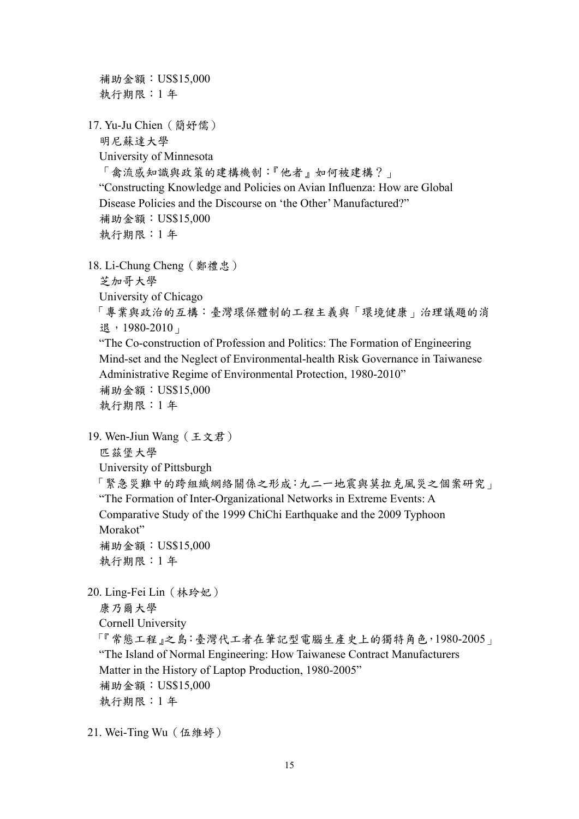補助金額:US\$15,000 執行期限:1 年 17. Yu-Ju Chien(簡妤儒) 明尼蘇達大學 University of Minnesota 「禽流感知識與政策的建構機制:『他者』如何被建構?」 "Constructing Knowledge and Policies on Avian Influenza: How are Global Disease Policies and the Discourse on 'the Other' Manufactured?" 補助金額:US\$15,000 執行期限:1 年 18. Li-Chung Cheng(鄭禮忠) 芝加哥大學 University of Chicago 「專業與政治的互構:臺灣環保體制的工程主義與「環境健康」治理議題的消 退,1980-2010」 "The Co-construction of Profession and Politics: The Formation of Engineering Mind-set and the Neglect of Environmental-health Risk Governance in Taiwanese Administrative Regime of Environmental Protection, 1980-2010" 補助金額:US\$15,000 執行期限:1 年 19. Wen-Jiun Wang(王文君) 匹茲堡大學 University of Pittsburgh 「緊急災難中的跨組織網絡關係之形成:九二一地震與莫拉克風災之個案研究」 "The Formation of Inter-Organizational Networks in Extreme Events: A Comparative Study of the 1999 ChiChi Earthquake and the 2009 Typhoon Morakot" 補助金額:US\$15,000 執行期限:1 年 20. Ling-Fei Lin(林玲妃) 康乃爾大學 Cornell University 「『常態工程』之島:臺灣代工者在筆記型電腦生產史上的獨特角色,1980-2005」 "The Island of Normal Engineering: How Taiwanese Contract Manufacturers Matter in the History of Laptop Production, 1980-2005" 補助金額:US\$15,000 執行期限:1 年

21. Wei-Ting Wu(伍維婷)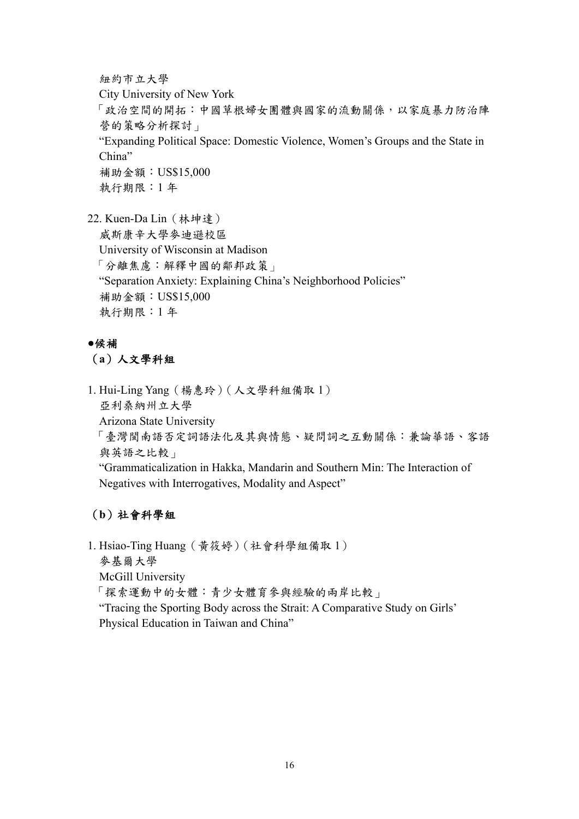紐約市立大學

City University of New York

「政治空間的開拓:中國草根婦女團體與國家的流動關係,以家庭暴力防治陣 營的策略分析探討」

 "Expanding Political Space: Domestic Violence, Women's Groups and the State in China"

 補助金額:US\$15,000 執行期限:1 年

22. Kuen-Da Lin(林坤達)

威斯康辛大學麥迪遜校區 University of Wisconsin at Madison 「分離焦慮:解釋中國的鄰邦政策」 "Separation Anxiety: Explaining China's Neighborhood Policies" 補助金額:US\$15,000 執行期限:1 年

## **●**候補

(**a**)人文學科組

1. Hui-Ling Yang(楊惠玲)(人文學科組備取 1) 亞利桑納州立大學 Arizona State University 「臺灣閩南語否定詞語法化及其與情態、疑問詞之互動關係:兼論華語、客語 與英語之比較」

"Grammaticalization in Hakka, Mandarin and Southern Min: The Interaction of Negatives with Interrogatives, Modality and Aspect"

# (**b**)社會科學組

1. Hsiao-Ting Huang(黃筱婷)(社會科學組備取 1)

麥基爾大學

McGill University

「探索運動中的女體:青少女體育參與經驗的兩岸比較」

"Tracing the Sporting Body across the Strait: A Comparative Study on Girls' Physical Education in Taiwan and China"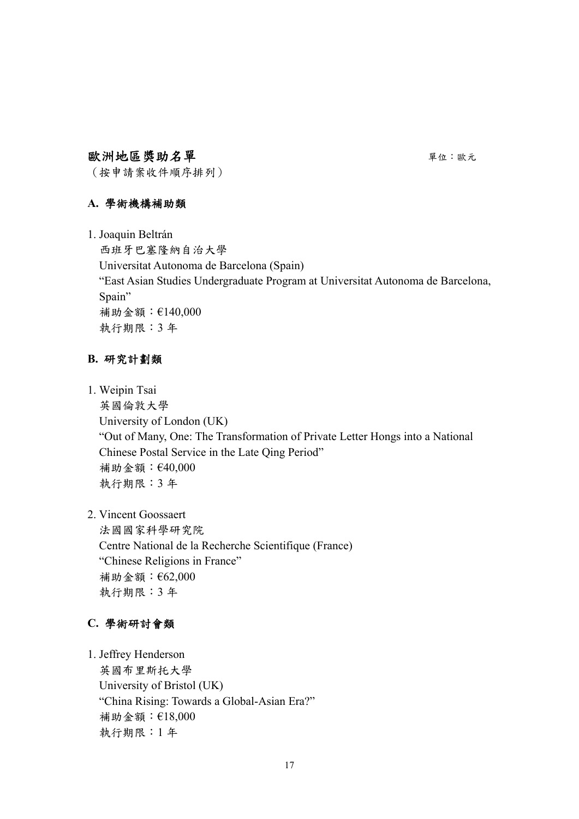## 歐洲地區獎助名單 キャンプ アンチャン エンジェン エンディング エンジェル かいしゅう

(按申請案收件順序排列)

## **A.** 學術機構補助類

1. Joaquin Beltrán

 西班牙巴塞隆納自治大學 Universitat Autonoma de Barcelona (Spain) "East Asian Studies Undergraduate Program at Universitat Autonoma de Barcelona, Spain" 補助金額:€140,000 執行期限:3 年

## **B.** 研究計劃類

1. Weipin Tsai

 英國倫敦大學 University of London (UK) "Out of Many, One: The Transformation of Private Letter Hongs into a National Chinese Postal Service in the Late Qing Period" 補助金額:€40,000 執行期限:3 年

2. Vincent Goossaert

 法國國家科學研究院 Centre National de la Recherche Scientifique (France) "Chinese Religions in France" 補助金額:€62,000 執行期限:3 年

## **C.** 學術研討會類

1. Jeffrey Henderson 英國布里斯托大學 University of Bristol (UK) "China Rising: Towards a Global-Asian Era?" 補助金額:€18,000 執行期限:1 年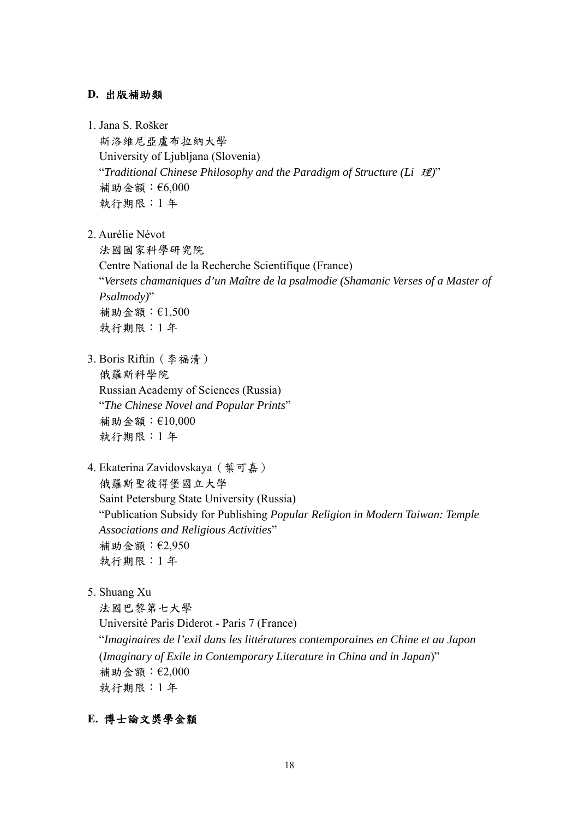#### **D.** 出版補助類

1. Jana S. Rošker

斯洛維尼亞盧布拉納大學 University of Ljubljana (Slovenia) "*Traditional Chinese Philosophy and the Paradigm of Structure (Li* 理*)*" 補助金額:€6,000 執行期限:1 年

2. Aurélie Névot

法國國家科學研究院 Centre National de la Recherche Scientifique (France) "*Versets chamaniques d'un Maître de la psalmodie (Shamanic Verses of a Master of Psalmody)*" 補助金額:€1,500 執行期限:1 年

- 3. Boris Riftin(李福清) 俄羅斯科學院 Russian Academy of Sciences (Russia) "*The Chinese Novel and Popular Prints*" 補助金額:€10,000 執行期限:1 年
- 4. Ekaterina Zavidovskaya(葉可嘉) 俄羅斯聖彼得堡國立大學 Saint Petersburg State University (Russia) "Publication Subsidy for Publishing *Popular Religion in Modern Taiwan: Temple Associations and Religious Activities*" 補助金額:€2,950 執行期限:1 年
- 5. Shuang Xu

法國巴黎第七大學 Université Paris Diderot - Paris 7 (France) "*Imaginaires de l'exil dans les littératures contemporaines en Chine et au Japon*  (*Imaginary of Exile in Contemporary Literature in China and in Japan*)" 補助金額:€2,000 執行期限:1 年

## **E.** 博士論文獎學金纇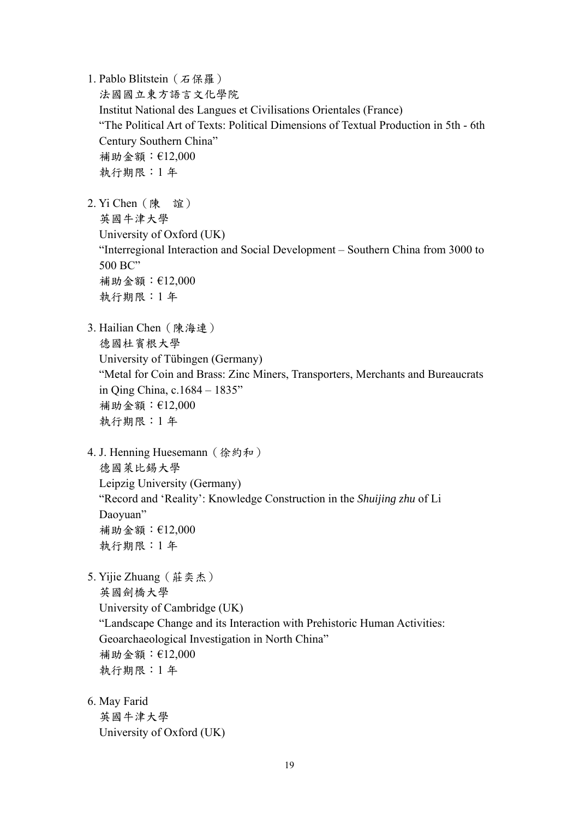1. Pablo Blitstein (石保羅)

法國國立東方語言文化學院 Institut National des Langues et Civilisations Orientales (France) "The Political Art of Texts: Political Dimensions of Textual Production in 5th - 6th Century Southern China" 補助金額:€12,000 執行期限:1 年

2. Yi Chen(陳 誼) 英國牛津大學 University of Oxford (UK) "Interregional Interaction and Social Development – Southern China from 3000 to 500 BC" 補助金額:€12,000 執行期限:1 年

- 3. Hailian Chen(陳海連) 德國杜賓根大學 University of Tübingen (Germany) "Metal for Coin and Brass: Zinc Miners, Transporters, Merchants and Bureaucrats in Qing China, c.1684 – 1835" 補助金額:€12,000 執行期限:1 年
- 4. J. Henning Huesemann (徐約和) 德國萊比錫大學 Leipzig University (Germany) "Record and 'Reality': Knowledge Construction in the *Shuijing zhu* of Li Daoyuan" 補助金額:€12,000 執行期限:1 年
- 5. Yijie Zhuang(莊奕杰) 英國劍橋大學 University of Cambridge (UK) "Landscape Change and its Interaction with Prehistoric Human Activities: Geoarchaeological Investigation in North China" 補助金額:€12,000 執行期限:1 年
- 6. May Farid 英國牛津大學 University of Oxford (UK)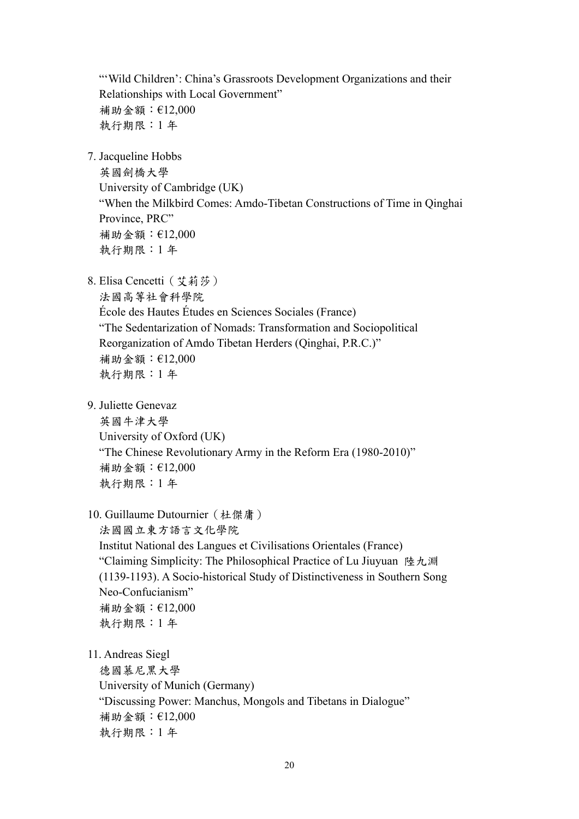"'Wild Children': China's Grassroots Development Organizations and their Relationships with Local Government" 補助金額:€12,000 執行期限:1 年

7. Jacqueline Hobbs

英國劍橋大學 University of Cambridge (UK) "When the Milkbird Comes: Amdo-Tibetan Constructions of Time in Qinghai Province, PRC" 補助金額:€12,000 執行期限:1 年

8. Elisa Cencetti (艾莉莎)

法國高等社會科學院 École des Hautes Études en Sciences Sociales (France) "The Sedentarization of Nomads: Transformation and Sociopolitical Reorganization of Amdo Tibetan Herders (Qinghai, P.R.C.)" 補助金額:€12,000 執行期限:1 年

9. Juliette Genevaz

英國牛津大學 University of Oxford (UK) "The Chinese Revolutionary Army in the Reform Era (1980-2010)" 補助金額:€12,000 執行期限:1 年

10. Guillaume Dutournier(杜傑庸)

法國國立東方語言文化學院 Institut National des Langues et Civilisations Orientales (France) "Claiming Simplicity: The Philosophical Practice of Lu Jiuyuan 陸九淵 (1139-1193). A Socio-historical Study of Distinctiveness in Southern Song Neo-Confucianism" 補助金額:€12,000 執行期限:1 年

11. Andreas Siegl

德國慕尼黑大學 University of Munich (Germany) "Discussing Power: Manchus, Mongols and Tibetans in Dialogue" 補助金額:€12,000 執行期限:1 年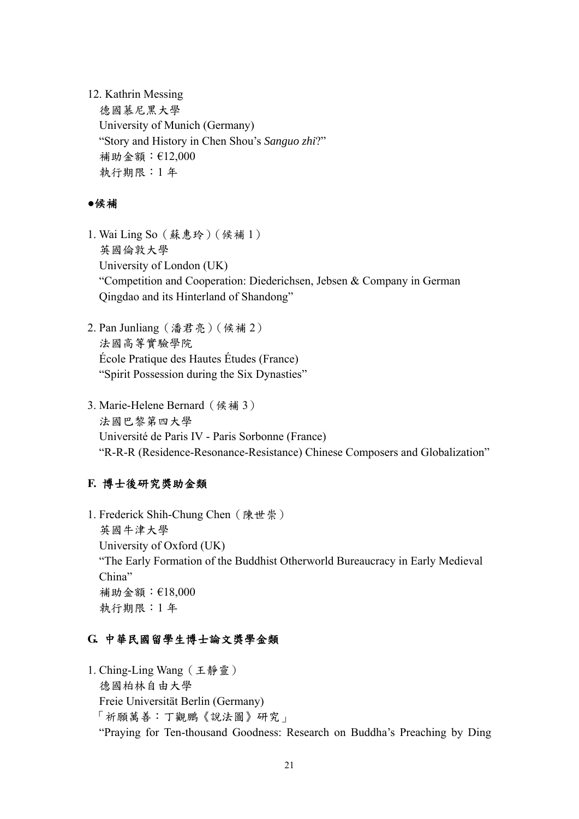12. Kathrin Messing

德國慕尼黑大學 University of Munich (Germany) "Story and History in Chen Shou's *Sanguo zhi*?" 補助金額:€12,000 執行期限:1 年

#### ●候補

- 1. Wai Ling So(蘇惠玲)(候補 1) 英國倫敦大學 University of London (UK) "Competition and Cooperation: Diederichsen, Jebsen & Company in German Qingdao and its Hinterland of Shandong"
- 2. Pan Junliang(潘君亮)(候補 2) 法國高等實驗學院 École Pratique des Hautes Études (France) "Spirit Possession during the Six Dynasties"
- 3. Marie-Helene Bernard(候補 3) 法國巴黎第四大學 Université de Paris IV - Paris Sorbonne (France) "R-R-R (Residence-Resonance-Resistance) Chinese Composers and Globalization"

## **F.** 博士後研究獎助金類

1. Frederick Shih-Chung Chen(陳世崇) 英國牛津大學 University of Oxford (UK) "The Early Formation of the Buddhist Otherworld Bureaucracy in Early Medieval China" 補助金額:€18,000 執行期限:1 年

## **G.** 中華民國留學生博士論文獎學金類

1. Ching-Ling Wang(王靜靈) 德國柏林自由大學 Freie Universität Berlin (Germany) 「祈願萬善︰丁觀鵬《說法圖》研究」 "Praying for Ten-thousand Goodness: Research on Buddha's Preaching by Ding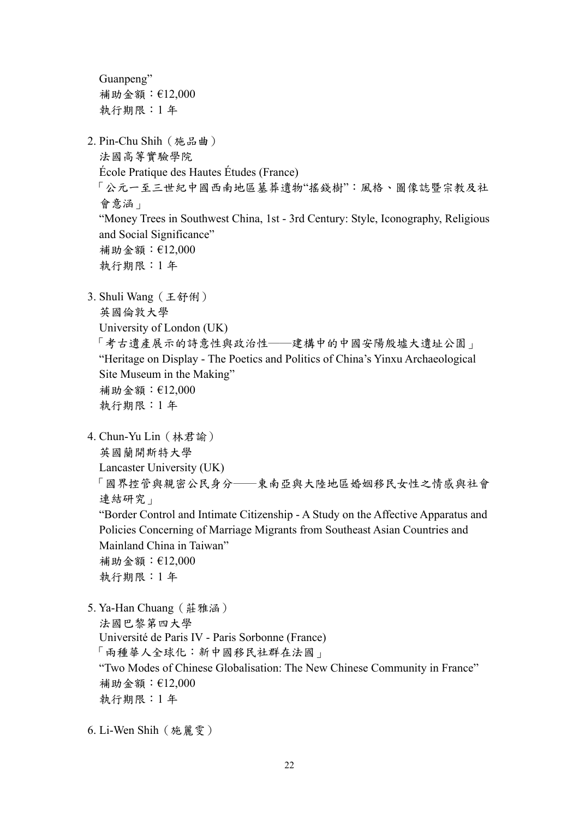Guanpeng" 補助金額:€12,000 執行期限:1 年 2. Pin-Chu Shih(施品曲) 法國高等實驗學院 École Pratique des Hautes Études (France) 「公元一至三世紀中國西南地區墓葬遺物"搖錢樹":風格、圖像誌暨宗教及社 會意涵」 "Money Trees in Southwest China, 1st - 3rd Century: Style, Iconography, Religious and Social Significance" 補助金額:€12,000 執行期限:1 年 3. Shuli Wang(王舒俐) 英國倫敦大學 University of London (UK) 「考古遺產展示的詩意性與政治性──建構中的中國安陽殷墟大遺址公園」 "Heritage on Display - The Poetics and Politics of China's Yinxu Archaeological Site Museum in the Making" 補助金額:€12,000 執行期限:1 年 4. Chun-Yu Lin(林君諭) 英國蘭開斯特大學 Lancaster University (UK) 「國界控管與親密公民身分──東南亞與大陸地區婚姻移民女性之情感與社會 連結研究」 "Border Control and Intimate Citizenship - A Study on the Affective Apparatus and Policies Concerning of Marriage Migrants from Southeast Asian Countries and Mainland China in Taiwan" 補助金額:€12,000 執行期限:1 年 5. Ya-Han Chuang(莊雅涵) 法國巴黎第四大學 Université de Paris IV - Paris Sorbonne (France) 「兩種華人全球化:新中國移民社群在法國」 "Two Modes of Chinese Globalisation: The New Chinese Community in France" 補助金額:€12,000 執行期限:1 年

6. Li-Wen Shih(施麗雯)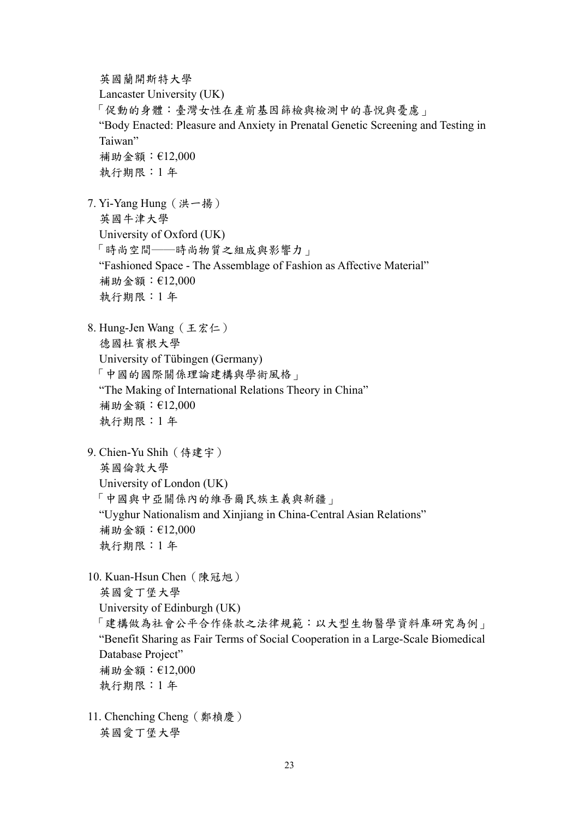英國蘭開斯特大學 Lancaster University (UK) 「促動的身體:臺灣女性在產前基因篩檢與檢測中的喜悅與憂慮」 "Body Enacted: Pleasure and Anxiety in Prenatal Genetic Screening and Testing in Taiwan" 補助金額:€12,000 執行期限:1 年

7. Yi-Yang Hung(洪一揚) 英國牛津大學 University of Oxford (UK) 「時尚空間──時尚物質之組成與影響力」 "Fashioned Space - The Assemblage of Fashion as Affective Material" 補助金額:€12,000 執行期限:1 年

- 8. Hung-Jen Wang(王宏仁) 德國杜賓根大學 University of Tübingen (Germany) 「中國的國際關係理論建構與學術風格」 "The Making of International Relations Theory in China" 補助金額:€12,000 執行期限:1 年
- 9. Chien-Yu Shih(侍建宇) 英國倫敦大學

University of London (UK) 「中國與中亞關係內的維吾爾民族主義與新疆」

"Uyghur Nationalism and Xinjiang in China-Central Asian Relations"

補助金額:€12,000

執行期限:1 年

10. Kuan-Hsun Chen(陳冠旭) 英國愛丁堡大學 University of Edinburgh (UK) 「建構做為社會公平合作條款之法律規範:以大型生物醫學資料庫研究為例」 "Benefit Sharing as Fair Terms of Social Cooperation in a Large-Scale Biomedical Database Project" 補助金額:€12,000 執行期限:1 年

11. Chenching Cheng(鄭楨慶) 英國愛丁堡大學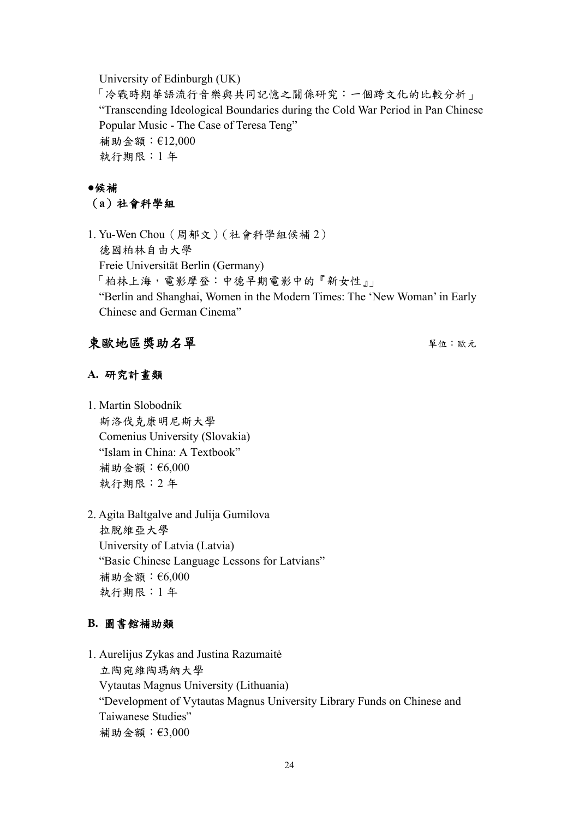University of Edinburgh (UK)

「冷戰時期華語流行音樂與共同記憶之關係研究:一個跨文化的比較分析」 "Transcending Ideological Boundaries during the Cold War Period in Pan Chinese Popular Music - The Case of Teresa Teng" 補助金額:€12,000 執行期限:1 年

# **●**候補 (**a**)社會科學組

1. Yu-Wen Chou(周郁文)(社會科學組候補 2) 德國柏林自由大學 Freie Universität Berlin (Germany) 「柏林上海,電影摩登:中德早期電影中的『新女性』」 "Berlin and Shanghai, Women in the Modern Times: The 'New Woman' in Early Chinese and German Cinema"

# 東歐地區獎助名單 キャンプ エンチ エンジェン エンディング エンチ えいきょう

## **A.** 研究計畫類

1. Martin Slobodník 斯洛伐克康明尼斯大學 Comenius University (Slovakia) "Islam in China: A Textbook" 補助金額:€6,000 執行期限:2 年

2. Agita Baltgalve and Julija Gumilova 拉脫維亞大學 University of Latvia (Latvia) "Basic Chinese Language Lessons for Latvians" 補助金額:€6,000 執行期限:1 年

## **B.** 圖書館補助類

1. Aurelijus Zykas and Justina Razumaitė 立陶宛維陶瑪納大學 Vytautas Magnus University (Lithuania) "Development of Vytautas Magnus University Library Funds on Chinese and Taiwanese Studies" 補助金額:€3,000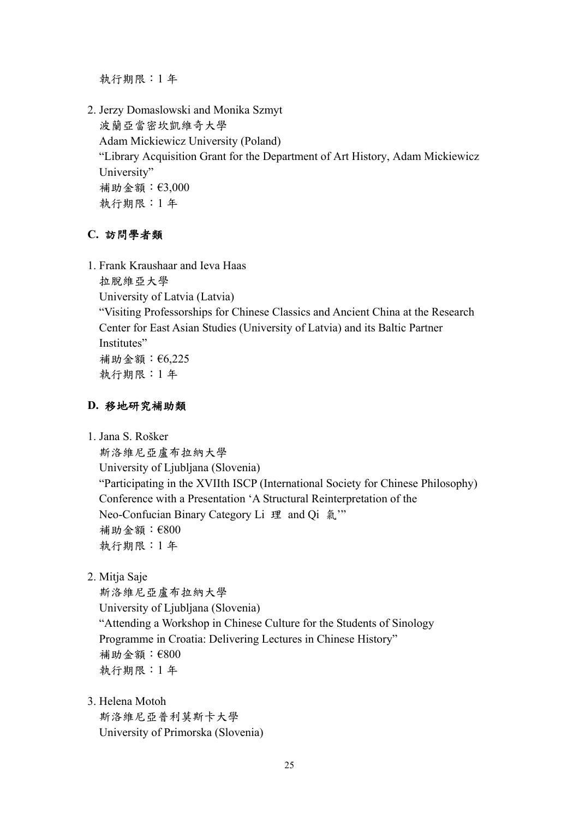執行期限:1 年

2. Jerzy Domaslowski and Monika Szmyt 波蘭亞當密坎凱維奇大學 Adam Mickiewicz University (Poland) "Library Acquisition Grant for the Department of Art History, Adam Mickiewicz University" 補助金額:€3,000 執行期限:1 年

## **C.** 訪問學者類

1. Frank Kraushaar and Ieva Haas

拉脫維亞大學 University of Latvia (Latvia) "Visiting Professorships for Chinese Classics and Ancient China at the Research Center for East Asian Studies (University of Latvia) and its Baltic Partner Institutes" 補助金額:€6,225 執行期限:1 年

## **D.** 移地研究補助類

1. Jana S. Rošker

斯洛維尼亞盧布拉納大學 University of Ljubljana (Slovenia) "Participating in the XVIIth ISCP (International Society for Chinese Philosophy) Conference with a Presentation 'A Structural Reinterpretation of the Neo-Confucian Binary Category Li 理 and Qi 氣"" 補助金額:€800 執行期限:1 年

2. Mitja Saje

斯洛維尼亞盧布拉納大學 University of Ljubljana (Slovenia) "Attending a Workshop in Chinese Culture for the Students of Sinology Programme in Croatia: Delivering Lectures in Chinese History" 補助金額:€800 執行期限:1 年

3. Helena Motoh

斯洛維尼亞普利莫斯卡大學 University of Primorska (Slovenia)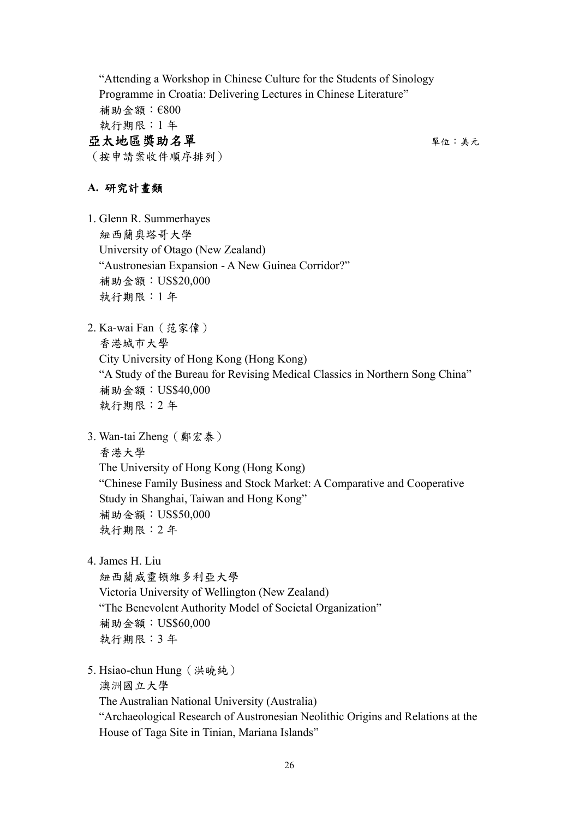"Attending a Workshop in Chinese Culture for the Students of Sinology Programme in Croatia: Delivering Lectures in Chinese Literature" 補助金額:€800 執行期限:1 年 亞太地區獎助名單 キャンプ しゅうしゃ アクセス エンジェル かいきょう

(按申請案收件順序排列)

## **A.** 研究計畫類

1. Glenn R. Summerhayes 紐西蘭奧塔哥大學 University of Otago (New Zealand) "Austronesian Expansion - A New Guinea Corridor?" 補助金額:US\$20,000 執行期限:1 年

- 2. Ka-wai Fan(范家偉) 香港城市大學 City University of Hong Kong (Hong Kong) "A Study of the Bureau for Revising Medical Classics in Northern Song China" 補助金額:US\$40,000 執行期限:2 年
- 3. Wan-tai Zheng(鄭宏泰)

香港大學

The University of Hong Kong (Hong Kong)

"Chinese Family Business and Stock Market: A Comparative and Cooperative Study in Shanghai, Taiwan and Hong Kong" 補助金額:US\$50,000 執行期限:2 年

4. James H. Liu

紐西蘭威靈頓維多利亞大學 Victoria University of Wellington (New Zealand) "The Benevolent Authority Model of Societal Organization" 補助金額:US\$60,000 執行期限:3 年

5. Hsiao-chun Hung(洪曉純) 澳洲國立大學

The Australian National University (Australia)

"Archaeological Research of Austronesian Neolithic Origins and Relations at the House of Taga Site in Tinian, Mariana Islands"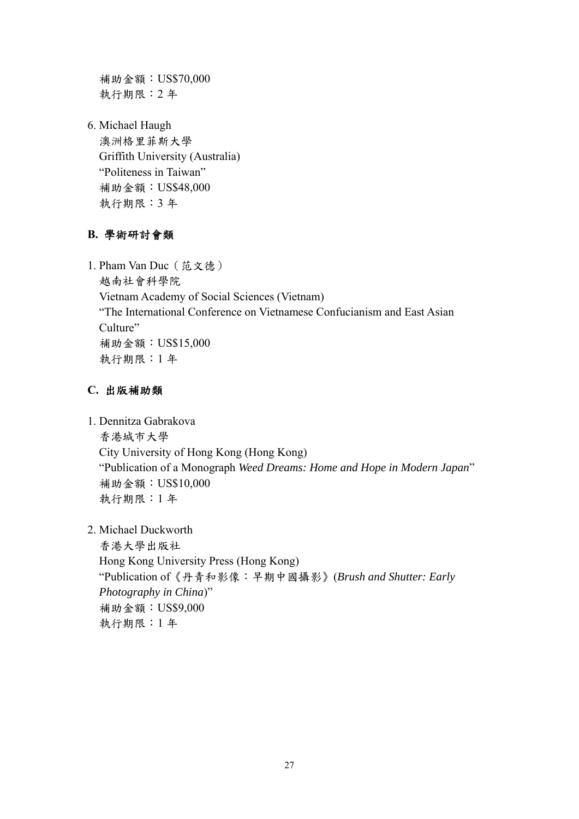補助金額:US\$70,000 執行期限:2 年

6. Michael Haugh 澳洲格里菲斯大學 Griffith University (Australia) "Politeness in Taiwan" 補助金額:US\$48,000 執行期限:3 年

## **B.** 學術研討會類

1. Pham Van Duc(范文德) 越南社會科學院 Vietnam Academy of Social Sciences (Vietnam) "The International Conference on Vietnamese Confucianism and East Asian Culture" 補助金額:US\$15,000 執行期限:1 年

## **C.** 出版補助類

1. Dennitza Gabrakova 香港城市大學 City University of Hong Kong (Hong Kong) "Publication of a Monograph *Weed Dreams: Home and Hope in Modern Japan*" 補助金額:US\$10,000 執行期限:1 年

2. Michael Duckworth

 香港大學出版社 Hong Kong University Press (Hong Kong) "Publication of《丹青和影像:早期中國攝影》(*Brush and Shutter: Early Photography in China*)" 補助金額:US\$9,000 執行期限:1 年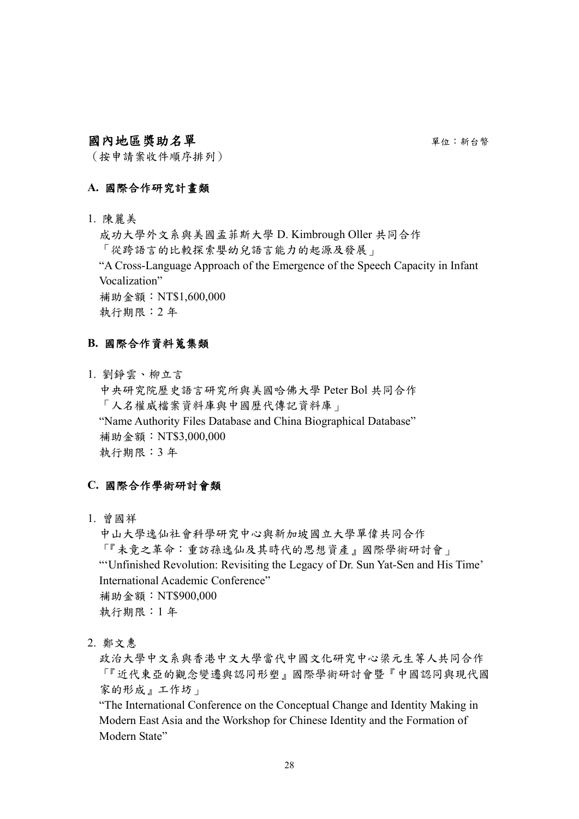## 國內地區獎助名單 單位:新台幣

(按申請案收件順序排列)

## **A.** 國際合作研究計畫類

1. 陳麗美

成功大學外文系與美國孟菲斯大學 D. Kimbrough Oller 共同合作 「從跨語言的比較探索嬰幼兒語言能力的起源及發展」 "A Cross-Language Approach of the Emergence of the Speech Capacity in Infant Vocalization" 補助金額:NT\$1,600,000 執行期限:2 年

## **B.** 國際合作資料蒐集類

1. 劉錚雲、柳立言 中央研究院歷史語言研究所與美國哈佛大學 Peter Bol 共同合作 「人名權威檔案資料庫與中國歷代傳記資料庫」 "Name Authority Files Database and China Biographical Database" 補助金額:NT\$3,000,000 執行期限:3 年

## **C.** 國際合作學術研討會類

1. 曾國祥

中山大學逸仙社會科學研究中心與新加坡國立大學單偉共同合作 「『未竟之革命:重訪孫逸仙及其時代的思想資產』國際學術研討會」 "'Unfinished Revolution: Revisiting the Legacy of Dr. Sun Yat-Sen and His Time' International Academic Conference" 補助金額:NT\$900,000 執行期限:1 年

2. 鄭文惠

政治大學中文系與香港中文大學當代中國文化研究中心梁元生等人共同合作 「『近代東亞的觀念變遷與認同形塑』國際學術研討會暨『中國認同與現代國 家的形成』工作坊」

"The International Conference on the Conceptual Change and Identity Making in Modern East Asia and the Workshop for Chinese Identity and the Formation of Modern State"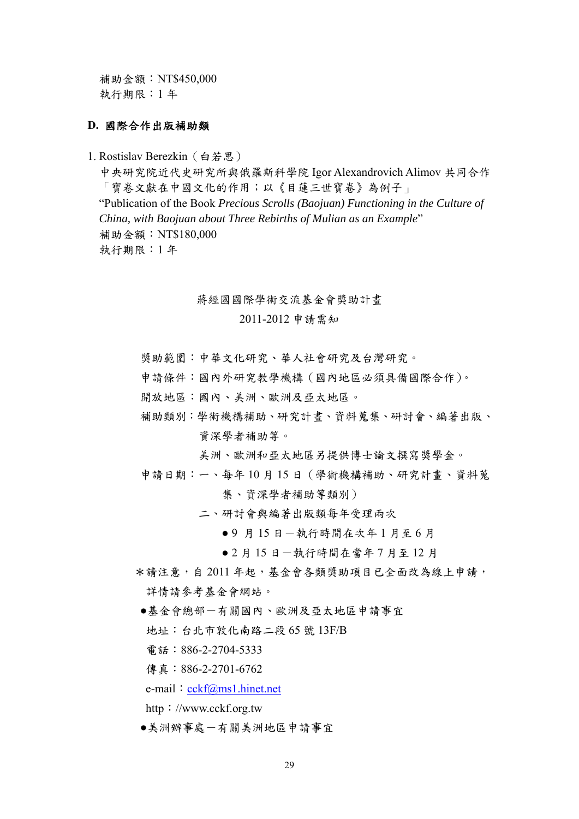補助金額:NT\$450,000 執行期限:1 年

#### **D.** 國際合作出版補助類

1. Rostislav Berezkin (白若思)

中央研究院近代史研究所與俄羅斯科學院 Igor Alexandrovich Alimov 共同合作 「寶卷文獻在中國文化的作用;以《目蓮三世寶卷》為例子」 "Publication of the Book *Precious Scrolls (Baojuan) Functioning in the Culture of China, with Baojuan about Three Rebirths of Mulian as an Example*" 補助金額:NT\$180,000 執行期限:1 年

#### 蔣經國國際學術交流基金會獎助計畫

2011-2012 申請需知

- 獎助範圍:中華文化研究、華人社會研究及台灣研究。
- 申請條件:國內外研究教學機構(國內地區必須具備國際合作)。
- 開放地區:國內、美洲、歐洲及亞太地區。
- 補助類別:學術機構補助、研究計畫、資料蒐集、研討會、編著出版、 資深學者補助等。

美洲、歐洲和亞太地區另提供博士論文撰寫獎學金。

申請日期:一、每年 10 月 15 日(學術機構補助、研究計畫、資料蒐

集、資深學者補助等類別)

- 二、研討會與編著出版類每年受理兩次
	- 9 月 15 日 一執行時間在次年1月至6月
	- 2 月 15 日 一執行時間在當年 7 月至 12 月
- \*請注意,自 2011 年起,基金會各類獎助項目已全面改為線上申請, 詳情請參考基金會網站。
- ●基金會總部-有關國內、歐洲及亞太地區申請事宜
	- 地址:台北市敦化南路二段 65 號 13F/B
	- 電話:886-2-2704-5333
- 傳直: 886-2-2701-6762

e-mail: [cckf@ms1.hinet.net](mailto:cckf@ms1.hinet.net)

http://www.cckf.org.tw

●美洲辦事處-有關美洲地區申請事宜